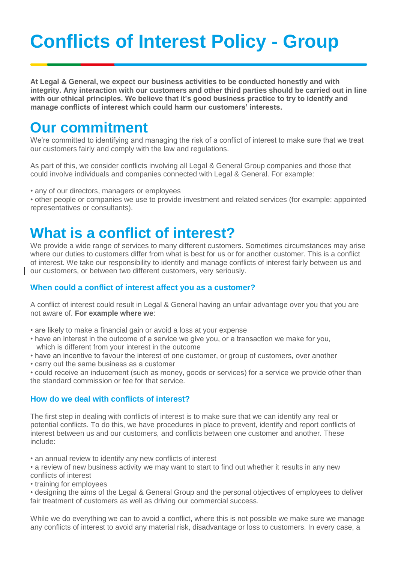# **Conflicts of Interest Policy - Group**

**At Legal & General, we expect our business activities to be conducted honestly and with integrity. Any interaction with our customers and other third parties should be carried out in line with our ethical principles. We believe that it's good business practice to try to identify and manage conflicts of interest which could harm our customers' interests.**

### **Our commitment**

We're committed to identifying and managing the risk of a conflict of interest to make sure that we treat our customers fairly and comply with the law and regulations.

As part of this, we consider conflicts involving all Legal & General Group companies and those that could involve individuals and companies connected with Legal & General. For example:

• any of our directors, managers or employees

• other people or companies we use to provide investment and related services (for example: appointed representatives or consultants).

## **What is a conflict of interest?**

We provide a wide range of services to many different customers. Sometimes circumstances may arise where our duties to customers differ from what is best for us or for another customer. This is a conflict of interest. We take our responsibility to identify and manage conflicts of interest fairly between us and our customers, or between two different customers, very seriously.

#### **When could a conflict of interest affect you as a customer?**

A conflict of interest could result in Legal & General having an unfair advantage over you that you are not aware of. **For example where we**:

- are likely to make a financial gain or avoid a loss at your expense
- have an interest in the outcome of a service we give you, or a transaction we make for you, which is different from your interest in the outcome
- have an incentive to favour the interest of one customer, or group of customers, over another
- carry out the same business as a customer

• could receive an inducement (such as money, goods or services) for a service we provide other than the standard commission or fee for that service.

#### **How do we deal with conflicts of interest?**

The first step in dealing with conflicts of interest is to make sure that we can identify any real or potential conflicts. To do this, we have procedures in place to prevent, identify and report conflicts of interest between us and our customers, and conflicts between one customer and another. These include:

• an annual review to identify any new conflicts of interest

• a review of new business activity we may want to start to find out whether it results in any new conflicts of interest

• training for employees

• designing the aims of the Legal & General Group and the personal objectives of employees to deliver fair treatment of customers as well as driving our commercial success.

While we do everything we can to avoid a conflict, where this is not possible we make sure we manage any conflicts of interest to avoid any material risk, disadvantage or loss to customers. In every case, a